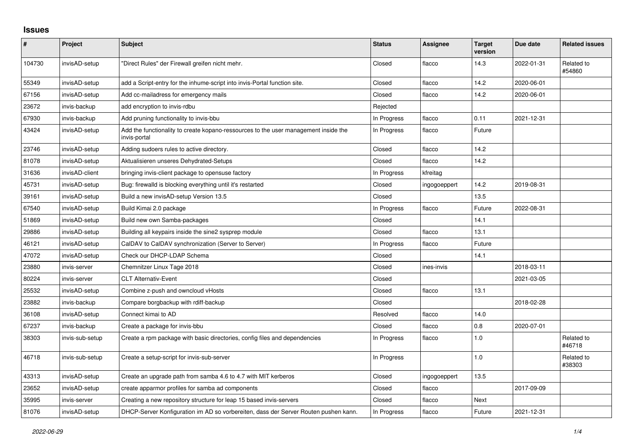## **Issues**

| #      | <b>Project</b>  | <b>Subject</b>                                                                                      | <b>Status</b> | <b>Assignee</b> | <b>Target</b><br>version | Due date   | <b>Related issues</b> |
|--------|-----------------|-----------------------------------------------------------------------------------------------------|---------------|-----------------|--------------------------|------------|-----------------------|
| 104730 | invisAD-setup   | "Direct Rules" der Firewall greifen nicht mehr.                                                     | Closed        | flacco          | 14.3                     | 2022-01-31 | Related to<br>#54860  |
| 55349  | invisAD-setup   | add a Script-entry for the inhume-script into invis-Portal function site.                           | Closed        | flacco          | 14.2                     | 2020-06-01 |                       |
| 67156  | invisAD-setup   | Add cc-mailadress for emergency mails                                                               | Closed        | flacco          | 14.2                     | 2020-06-01 |                       |
| 23672  | invis-backup    | add encryption to invis-rdbu                                                                        | Rejected      |                 |                          |            |                       |
| 67930  | invis-backup    | Add pruning functionality to invis-bbu                                                              | In Progress   | flacco          | 0.11                     | 2021-12-31 |                       |
| 43424  | invisAD-setup   | Add the functionality to create kopano-ressources to the user management inside the<br>invis-portal | In Progress   | flacco          | Future                   |            |                       |
| 23746  | invisAD-setup   | Adding sudoers rules to active directory.                                                           | Closed        | flacco          | 14.2                     |            |                       |
| 81078  | invisAD-setup   | Aktualisieren unseres Dehydrated-Setups                                                             | Closed        | flacco          | 14.2                     |            |                       |
| 31636  | invisAD-client  | bringing invis-client package to opensuse factory                                                   | In Progress   | kfreitag        |                          |            |                       |
| 45731  | invisAD-setup   | Bug: firewalld is blocking everything until it's restarted                                          | Closed        | ingogoeppert    | 14.2                     | 2019-08-31 |                       |
| 39161  | invisAD-setup   | Build a new invisAD-setup Version 13.5                                                              | Closed        |                 | 13.5                     |            |                       |
| 67540  | invisAD-setup   | Build Kimai 2.0 package                                                                             | In Progress   | flacco          | Future                   | 2022-08-31 |                       |
| 51869  | invisAD-setup   | Build new own Samba-packages                                                                        | Closed        |                 | 14.1                     |            |                       |
| 29886  | invisAD-setup   | Building all keypairs inside the sine2 sysprep module                                               | Closed        | flacco          | 13.1                     |            |                       |
| 46121  | invisAD-setup   | CalDAV to CalDAV synchronization (Server to Server)                                                 | In Progress   | flacco          | Future                   |            |                       |
| 47072  | invisAD-setup   | Check our DHCP-LDAP Schema                                                                          | Closed        |                 | 14.1                     |            |                       |
| 23880  | invis-server    | Chemnitzer Linux Tage 2018                                                                          | Closed        | ines-invis      |                          | 2018-03-11 |                       |
| 80224  | invis-server    | <b>CLT Alternativ-Event</b>                                                                         | Closed        |                 |                          | 2021-03-05 |                       |
| 25532  | invisAD-setup   | Combine z-push and owncloud vHosts                                                                  | Closed        | flacco          | 13.1                     |            |                       |
| 23882  | invis-backup    | Compare borgbackup with rdiff-backup                                                                | Closed        |                 |                          | 2018-02-28 |                       |
| 36108  | invisAD-setup   | Connect kimai to AD                                                                                 | Resolved      | flacco          | 14.0                     |            |                       |
| 67237  | invis-backup    | Create a package for invis-bbu                                                                      | Closed        | flacco          | $0.8\,$                  | 2020-07-01 |                       |
| 38303  | invis-sub-setup | Create a rpm package with basic directories, config files and dependencies                          | In Progress   | flacco          | 1.0                      |            | Related to<br>#46718  |
| 46718  | invis-sub-setup | Create a setup-script for invis-sub-server                                                          | In Progress   |                 | $1.0$                    |            | Related to<br>#38303  |
| 43313  | invisAD-setup   | Create an upgrade path from samba 4.6 to 4.7 with MIT kerberos                                      | Closed        | ingogoeppert    | 13.5                     |            |                       |
| 23652  | invisAD-setup   | create apparmor profiles for samba ad components                                                    | Closed        | flacco          |                          | 2017-09-09 |                       |
| 35995  | invis-server    | Creating a new repository structure for leap 15 based invis-servers                                 | Closed        | flacco          | Next                     |            |                       |
| 81076  | invisAD-setup   | DHCP-Server Konfiguration im AD so vorbereiten, dass der Server Routen pushen kann.                 | In Progress   | flacco          | Future                   | 2021-12-31 |                       |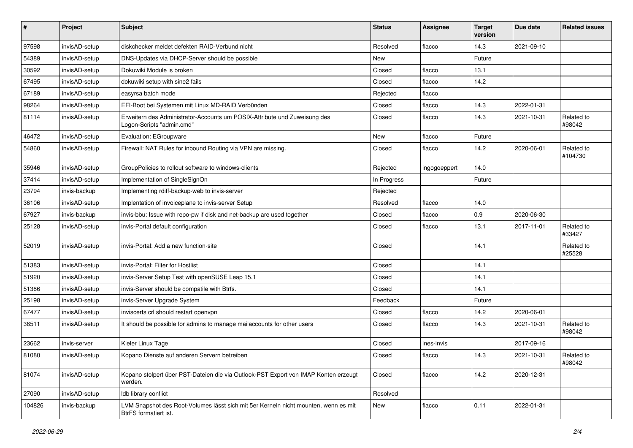| $\pmb{\#}$ | Project       | <b>Subject</b>                                                                                               | <b>Status</b> | <b>Assignee</b> | <b>Target</b><br>version | Due date   | <b>Related issues</b> |
|------------|---------------|--------------------------------------------------------------------------------------------------------------|---------------|-----------------|--------------------------|------------|-----------------------|
| 97598      | invisAD-setup | diskchecker meldet defekten RAID-Verbund nicht                                                               | Resolved      | flacco          | 14.3                     | 2021-09-10 |                       |
| 54389      | invisAD-setup | DNS-Updates via DHCP-Server should be possible                                                               | New           |                 | Future                   |            |                       |
| 30592      | invisAD-setup | Dokuwiki Module is broken                                                                                    | Closed        | flacco          | 13.1                     |            |                       |
| 67495      | invisAD-setup | dokuwiki setup with sine2 fails                                                                              | Closed        | flacco          | 14.2                     |            |                       |
| 67189      | invisAD-setup | easyrsa batch mode                                                                                           | Rejected      | flacco          |                          |            |                       |
| 98264      | invisAD-setup | EFI-Boot bei Systemen mit Linux MD-RAID Verbünden                                                            | Closed        | flacco          | 14.3                     | 2022-01-31 |                       |
| 81114      | invisAD-setup | Erweitern des Administrator-Accounts um POSIX-Attribute und Zuweisung des<br>Logon-Scripts "admin.cmd"       | Closed        | flacco          | 14.3                     | 2021-10-31 | Related to<br>#98042  |
| 46472      | invisAD-setup | Evaluation: EGroupware                                                                                       | New           | flacco          | Future                   |            |                       |
| 54860      | invisAD-setup | Firewall: NAT Rules for inbound Routing via VPN are missing.                                                 | Closed        | flacco          | 14.2                     | 2020-06-01 | Related to<br>#104730 |
| 35946      | invisAD-setup | GroupPolicies to rollout software to windows-clients                                                         | Rejected      | ingogoeppert    | 14.0                     |            |                       |
| 37414      | invisAD-setup | Implementation of SingleSignOn                                                                               | In Progress   |                 | Future                   |            |                       |
| 23794      | invis-backup  | Implementing rdiff-backup-web to invis-server                                                                | Rejected      |                 |                          |            |                       |
| 36106      | invisAD-setup | Implentation of invoiceplane to invis-server Setup                                                           | Resolved      | flacco          | 14.0                     |            |                       |
| 67927      | invis-backup  | invis-bbu: Issue with repo-pw if disk and net-backup are used together                                       | Closed        | flacco          | 0.9                      | 2020-06-30 |                       |
| 25128      | invisAD-setup | invis-Portal default configuration                                                                           | Closed        | flacco          | 13.1                     | 2017-11-01 | Related to<br>#33427  |
| 52019      | invisAD-setup | invis-Portal: Add a new function-site                                                                        | Closed        |                 | 14.1                     |            | Related to<br>#25528  |
| 51383      | invisAD-setup | invis-Portal: Filter for Hostlist                                                                            | Closed        |                 | 14.1                     |            |                       |
| 51920      | invisAD-setup | invis-Server Setup Test with openSUSE Leap 15.1                                                              | Closed        |                 | 14.1                     |            |                       |
| 51386      | invisAD-setup | invis-Server should be compatile with Btrfs.                                                                 | Closed        |                 | 14.1                     |            |                       |
| 25198      | invisAD-setup | invis-Server Upgrade System                                                                                  | Feedback      |                 | Future                   |            |                       |
| 67477      | invisAD-setup | inviscerts crl should restart openvpn                                                                        | Closed        | flacco          | 14.2                     | 2020-06-01 |                       |
| 36511      | invisAD-setup | It should be possible for admins to manage mailaccounts for other users                                      | Closed        | flacco          | 14.3                     | 2021-10-31 | Related to<br>#98042  |
| 23662      | invis-server  | Kieler Linux Tage                                                                                            | Closed        | ines-invis      |                          | 2017-09-16 |                       |
| 81080      | invisAD-setup | Kopano Dienste auf anderen Servern betreiben                                                                 | Closed        | flacco          | 14.3                     | 2021-10-31 | Related to<br>#98042  |
| 81074      | invisAD-setup | Kopano stolpert über PST-Dateien die via Outlook-PST Export von IMAP Konten erzeugt<br>werden.               | Closed        | flacco          | 14.2                     | 2020-12-31 |                       |
| 27090      | invisAD-setup | Idb library conflict                                                                                         | Resolved      |                 |                          |            |                       |
| 104826     | invis-backup  | LVM Snapshot des Root-Volumes lässt sich mit 5er Kerneln nicht mounten, wenn es mit<br>BtrFS formatiert ist. | New           | flacco          | 0.11                     | 2022-01-31 |                       |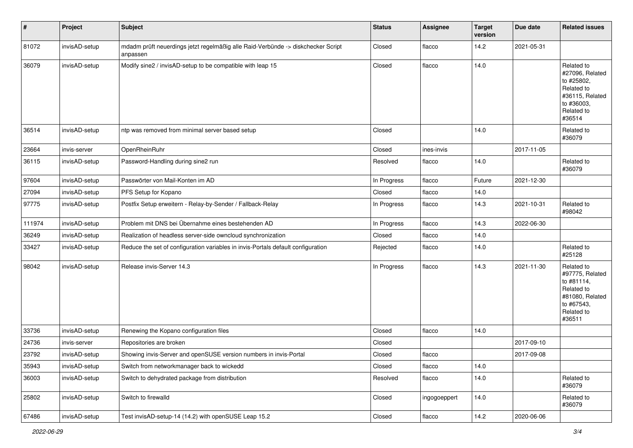| $\vert$ # | Project       | <b>Subject</b>                                                                               | <b>Status</b> | <b>Assignee</b> | <b>Target</b><br>version | Due date   | <b>Related issues</b>                                                                                              |
|-----------|---------------|----------------------------------------------------------------------------------------------|---------------|-----------------|--------------------------|------------|--------------------------------------------------------------------------------------------------------------------|
| 81072     | invisAD-setup | mdadm prüft neuerdings jetzt regelmäßig alle Raid-Verbünde -> diskchecker Script<br>anpassen | Closed        | flacco          | 14.2                     | 2021-05-31 |                                                                                                                    |
| 36079     | invisAD-setup | Modify sine2 / invisAD-setup to be compatible with leap 15                                   | Closed        | flacco          | 14.0                     |            | Related to<br>#27096, Related<br>to #25802,<br>Related to<br>#36115, Related<br>to #36003,<br>Related to<br>#36514 |
| 36514     | invisAD-setup | ntp was removed from minimal server based setup                                              | Closed        |                 | 14.0                     |            | Related to<br>#36079                                                                                               |
| 23664     | invis-server  | OpenRheinRuhr                                                                                | Closed        | ines-invis      |                          | 2017-11-05 |                                                                                                                    |
| 36115     | invisAD-setup | Password-Handling during sine2 run                                                           | Resolved      | flacco          | 14.0                     |            | Related to<br>#36079                                                                                               |
| 97604     | invisAD-setup | Passwörter von Mail-Konten im AD                                                             | In Progress   | flacco          | Future                   | 2021-12-30 |                                                                                                                    |
| 27094     | invisAD-setup | PFS Setup for Kopano                                                                         | Closed        | flacco          | 14.0                     |            |                                                                                                                    |
| 97775     | invisAD-setup | Postfix Setup erweitern - Relay-by-Sender / Fallback-Relay                                   | In Progress   | flacco          | 14.3                     | 2021-10-31 | Related to<br>#98042                                                                                               |
| 111974    | invisAD-setup | Problem mit DNS bei Übernahme eines bestehenden AD                                           | In Progress   | flacco          | 14.3                     | 2022-06-30 |                                                                                                                    |
| 36249     | invisAD-setup | Realization of headless server-side owncloud synchronization                                 | Closed        | flacco          | 14.0                     |            |                                                                                                                    |
| 33427     | invisAD-setup | Reduce the set of configuration variables in invis-Portals default configuration             | Rejected      | flacco          | 14.0                     |            | Related to<br>#25128                                                                                               |
| 98042     | invisAD-setup | Release invis-Server 14.3                                                                    | In Progress   | flacco          | 14.3                     | 2021-11-30 | Related to<br>#97775, Related<br>to #81114,<br>Related to<br>#81080, Related<br>to #67543,<br>Related to<br>#36511 |
| 33736     | invisAD-setup | Renewing the Kopano configuration files                                                      | Closed        | flacco          | 14.0                     |            |                                                                                                                    |
| 24736     | invis-server  | Repositories are broken                                                                      | Closed        |                 |                          | 2017-09-10 |                                                                                                                    |
| 23792     | invisAD-setup | Showing invis-Server and openSUSE version numbers in invis-Portal                            | Closed        | flacco          |                          | 2017-09-08 |                                                                                                                    |
| 35943     | invisAD-setup | Switch from networkmanager back to wickedd                                                   | Closed        | flacco          | 14.0                     |            |                                                                                                                    |
| 36003     | invisAD-setup | Switch to dehydrated package from distribution                                               | Resolved      | flacco          | 14.0                     |            | Related to<br>#36079                                                                                               |
| 25802     | invisAD-setup | Switch to firewalld                                                                          | Closed        | ingogoeppert    | 14.0                     |            | Related to<br>#36079                                                                                               |
| 67486     | invisAD-setup | Test invisAD-setup-14 (14.2) with openSUSE Leap 15.2                                         | Closed        | flacco          | 14.2                     | 2020-06-06 |                                                                                                                    |